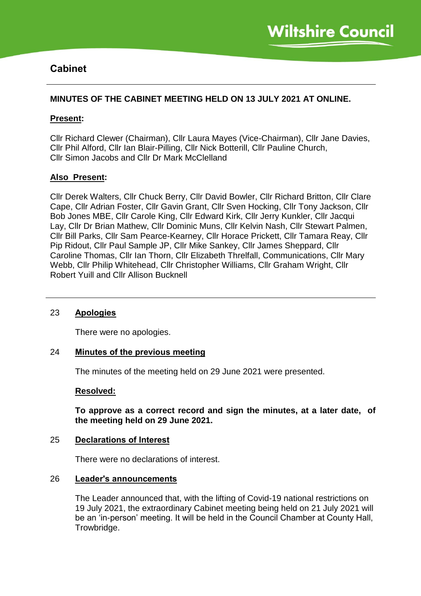# **Cabinet**

# **MINUTES OF THE CABINET MEETING HELD ON 13 JULY 2021 AT ONLINE.**

# **Present:**

Cllr Richard Clewer (Chairman), Cllr Laura Mayes (Vice-Chairman), Cllr Jane Davies, Cllr Phil Alford, Cllr Ian Blair-Pilling, Cllr Nick Botterill, Cllr Pauline Church, Cllr Simon Jacobs and Cllr Dr Mark McClelland

# **Also Present:**

Cllr Derek Walters, Cllr Chuck Berry, Cllr David Bowler, Cllr Richard Britton, Cllr Clare Cape, Cllr Adrian Foster, Cllr Gavin Grant, Cllr Sven Hocking, Cllr Tony Jackson, Cllr Bob Jones MBE, Cllr Carole King, Cllr Edward Kirk, Cllr Jerry Kunkler, Cllr Jacqui Lay, Cllr Dr Brian Mathew, Cllr Dominic Muns, Cllr Kelvin Nash, Cllr Stewart Palmen, Cllr Bill Parks, Cllr Sam Pearce-Kearney, Cllr Horace Prickett, Cllr Tamara Reay, Cllr Pip Ridout, Cllr Paul Sample JP, Cllr Mike Sankey, Cllr James Sheppard, Cllr Caroline Thomas, Cllr Ian Thorn, Cllr Elizabeth Threlfall, Communications, Cllr Mary Webb, Cllr Philip Whitehead, Cllr Christopher Williams, Cllr Graham Wright, Cllr Robert Yuill and Cllr Allison Bucknell

# 23 **Apologies**

There were no apologies.

### 24 **Minutes of the previous meeting**

The minutes of the meeting held on 29 June 2021 were presented.

### **Resolved:**

**To approve as a correct record and sign the minutes, at a later date, of the meeting held on 29 June 2021.**

### 25 **Declarations of Interest**

There were no declarations of interest.

### 26 **Leader's announcements**

The Leader announced that, with the lifting of Covid-19 national restrictions on 19 July 2021, the extraordinary Cabinet meeting being held on 21 July 2021 will be an 'in-person' meeting. It will be held in the Council Chamber at County Hall, Trowbridge.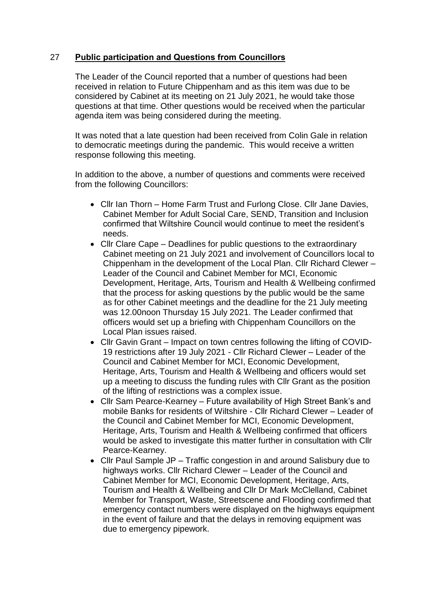# 27 **Public participation and Questions from Councillors**

The Leader of the Council reported that a number of questions had been received in relation to Future Chippenham and as this item was due to be considered by Cabinet at its meeting on 21 July 2021, he would take those questions at that time. Other questions would be received when the particular agenda item was being considered during the meeting.

It was noted that a late question had been received from Colin Gale in relation to democratic meetings during the pandemic. This would receive a written response following this meeting.

In addition to the above, a number of questions and comments were received from the following Councillors:

- Cllr Ian Thorn Home Farm Trust and Furlong Close. Cllr Jane Davies, Cabinet Member for Adult Social Care, SEND, Transition and Inclusion confirmed that Wiltshire Council would continue to meet the resident's needs.
- Cllr Clare Cape Deadlines for public questions to the extraordinary Cabinet meeting on 21 July 2021 and involvement of Councillors local to Chippenham in the development of the Local Plan. Cllr Richard Clewer – Leader of the Council and Cabinet Member for MCI, Economic Development, Heritage, Arts, Tourism and Health & Wellbeing confirmed that the process for asking questions by the public would be the same as for other Cabinet meetings and the deadline for the 21 July meeting was 12.00noon Thursday 15 July 2021. The Leader confirmed that officers would set up a briefing with Chippenham Councillors on the Local Plan issues raised.
- Cllr Gavin Grant Impact on town centres following the lifting of COVID-19 restrictions after 19 July 2021 - Cllr Richard Clewer – Leader of the Council and Cabinet Member for MCI, Economic Development, Heritage, Arts, Tourism and Health & Wellbeing and officers would set up a meeting to discuss the funding rules with Cllr Grant as the position of the lifting of restrictions was a complex issue.
- Cllr Sam Pearce-Kearney Future availability of High Street Bank's and mobile Banks for residents of Wiltshire - Cllr Richard Clewer – Leader of the Council and Cabinet Member for MCI, Economic Development, Heritage, Arts, Tourism and Health & Wellbeing confirmed that officers would be asked to investigate this matter further in consultation with Cllr Pearce-Kearney.
- Cllr Paul Sample JP Traffic congestion in and around Salisbury due to highways works. Cllr Richard Clewer – Leader of the Council and Cabinet Member for MCI, Economic Development, Heritage, Arts, Tourism and Health & Wellbeing and Cllr Dr Mark McClelland, Cabinet Member for Transport, Waste, Streetscene and Flooding confirmed that emergency contact numbers were displayed on the highways equipment in the event of failure and that the delays in removing equipment was due to emergency pipework.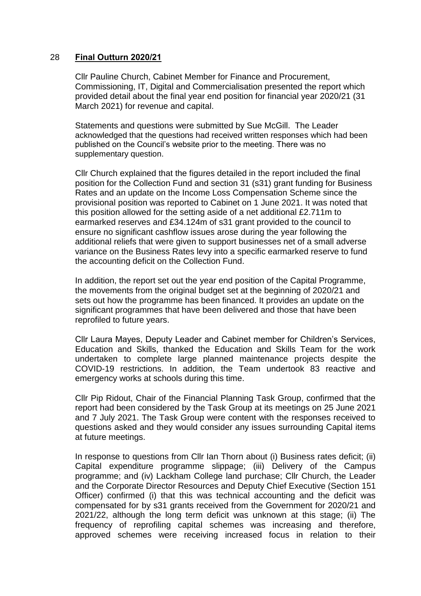### 28 **Final Outturn 2020/21**

Cllr Pauline Church, Cabinet Member for Finance and Procurement, Commissioning, IT, Digital and Commercialisation presented the report which provided detail about the final year end position for financial year 2020/21 (31 March 2021) for revenue and capital.

Statements and questions were submitted by Sue McGill. The Leader acknowledged that the questions had received written responses which had been published on the Council's website prior to the meeting. There was no supplementary question.

Cllr Church explained that the figures detailed in the report included the final position for the Collection Fund and section 31 (s31) grant funding for Business Rates and an update on the Income Loss Compensation Scheme since the provisional position was reported to Cabinet on 1 June 2021. It was noted that this position allowed for the setting aside of a net additional £2.711m to earmarked reserves and £34.124m of s31 grant provided to the council to ensure no significant cashflow issues arose during the year following the additional reliefs that were given to support businesses net of a small adverse variance on the Business Rates levy into a specific earmarked reserve to fund the accounting deficit on the Collection Fund.

In addition, the report set out the year end position of the Capital Programme, the movements from the original budget set at the beginning of 2020/21 and sets out how the programme has been financed. It provides an update on the significant programmes that have been delivered and those that have been reprofiled to future years.

Cllr Laura Mayes, Deputy Leader and Cabinet member for Children's Services, Education and Skills, thanked the Education and Skills Team for the work undertaken to complete large planned maintenance projects despite the COVID-19 restrictions. In addition, the Team undertook 83 reactive and emergency works at schools during this time.

Cllr Pip Ridout, Chair of the Financial Planning Task Group, confirmed that the report had been considered by the Task Group at its meetings on 25 June 2021 and 7 July 2021. The Task Group were content with the responses received to questions asked and they would consider any issues surrounding Capital items at future meetings.

In response to questions from Cllr Ian Thorn about (i) Business rates deficit; (ii) Capital expenditure programme slippage; (iii) Delivery of the Campus programme; and (iv) Lackham College land purchase; Cllr Church, the Leader and the Corporate Director Resources and Deputy Chief Executive (Section 151 Officer) confirmed (i) that this was technical accounting and the deficit was compensated for by s31 grants received from the Government for 2020/21 and 2021/22, although the long term deficit was unknown at this stage; (ii) The frequency of reprofiling capital schemes was increasing and therefore, approved schemes were receiving increased focus in relation to their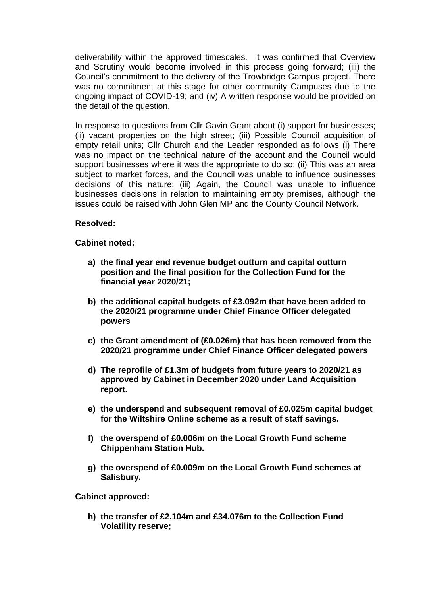deliverability within the approved timescales. It was confirmed that Overview and Scrutiny would become involved in this process going forward; (iii) the Council's commitment to the delivery of the Trowbridge Campus project. There was no commitment at this stage for other community Campuses due to the ongoing impact of COVID-19; and (iv) A written response would be provided on the detail of the question.

In response to questions from Cllr Gavin Grant about (i) support for businesses; (ii) vacant properties on the high street; (iii) Possible Council acquisition of empty retail units; Cllr Church and the Leader responded as follows (i) There was no impact on the technical nature of the account and the Council would support businesses where it was the appropriate to do so; (ii) This was an area subject to market forces, and the Council was unable to influence businesses decisions of this nature; (iii) Again, the Council was unable to influence businesses decisions in relation to maintaining empty premises, although the issues could be raised with John Glen MP and the County Council Network.

# **Resolved:**

# **Cabinet noted:**

- **a) the final year end revenue budget outturn and capital outturn position and the final position for the Collection Fund for the financial year 2020/21;**
- **b) the additional capital budgets of £3.092m that have been added to the 2020/21 programme under Chief Finance Officer delegated powers**
- **c) the Grant amendment of (£0.026m) that has been removed from the 2020/21 programme under Chief Finance Officer delegated powers**
- **d) The reprofile of £1.3m of budgets from future years to 2020/21 as approved by Cabinet in December 2020 under Land Acquisition report.**
- **e) the underspend and subsequent removal of £0.025m capital budget for the Wiltshire Online scheme as a result of staff savings.**
- **f) the overspend of £0.006m on the Local Growth Fund scheme Chippenham Station Hub.**
- **g) the overspend of £0.009m on the Local Growth Fund schemes at Salisbury.**

**Cabinet approved:**

**h) the transfer of £2.104m and £34.076m to the Collection Fund Volatility reserve;**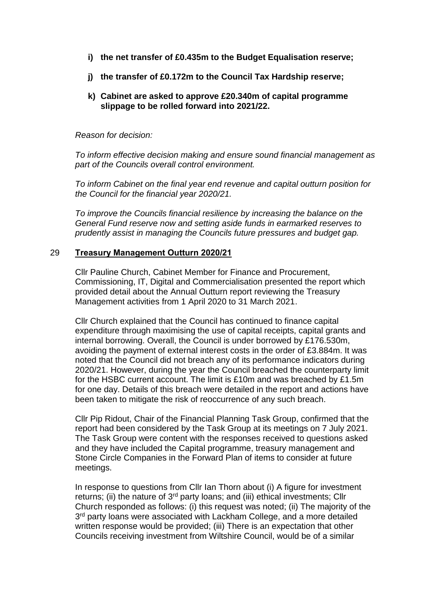- **i) the net transfer of £0.435m to the Budget Equalisation reserve;**
- **j) the transfer of £0.172m to the Council Tax Hardship reserve;**
- **k) Cabinet are asked to approve £20.340m of capital programme slippage to be rolled forward into 2021/22.**

*Reason for decision:*

*To inform effective decision making and ensure sound financial management as part of the Councils overall control environment.*

*To inform Cabinet on the final year end revenue and capital outturn position for the Council for the financial year 2020/21.*

*To improve the Councils financial resilience by increasing the balance on the General Fund reserve now and setting aside funds in earmarked reserves to prudently assist in managing the Councils future pressures and budget gap.*

### 29 **Treasury Management Outturn 2020/21**

Cllr Pauline Church, Cabinet Member for Finance and Procurement, Commissioning, IT, Digital and Commercialisation presented the report which provided detail about the Annual Outturn report reviewing the Treasury Management activities from 1 April 2020 to 31 March 2021.

Cllr Church explained that the Council has continued to finance capital expenditure through maximising the use of capital receipts, capital grants and internal borrowing. Overall, the Council is under borrowed by £176.530m, avoiding the payment of external interest costs in the order of £3.884m. It was noted that the Council did not breach any of its performance indicators during 2020/21. However, during the year the Council breached the counterparty limit for the HSBC current account. The limit is £10m and was breached by £1.5m for one day. Details of this breach were detailed in the report and actions have been taken to mitigate the risk of reoccurrence of any such breach.

Cllr Pip Ridout, Chair of the Financial Planning Task Group, confirmed that the report had been considered by the Task Group at its meetings on 7 July 2021. The Task Group were content with the responses received to questions asked and they have included the Capital programme, treasury management and Stone Circle Companies in the Forward Plan of items to consider at future meetings.

In response to questions from Cllr Ian Thorn about (i) A figure for investment returns; (ii) the nature of  $3<sup>rd</sup>$  party loans; and (iii) ethical investments; Cllr Church responded as follows: (i) this request was noted; (ii) The majority of the 3<sup>rd</sup> party loans were associated with Lackham College, and a more detailed written response would be provided; (iii) There is an expectation that other Councils receiving investment from Wiltshire Council, would be of a similar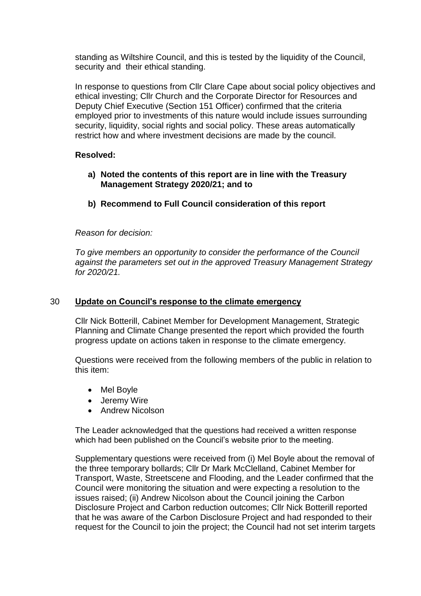standing as Wiltshire Council, and this is tested by the liquidity of the Council, security and their ethical standing.

In response to questions from Cllr Clare Cape about social policy objectives and ethical investing; Cllr Church and the Corporate Director for Resources and Deputy Chief Executive (Section 151 Officer) confirmed that the criteria employed prior to investments of this nature would include issues surrounding security, liquidity, social rights and social policy. These areas automatically restrict how and where investment decisions are made by the council.

# **Resolved:**

- **a) Noted the contents of this report are in line with the Treasury Management Strategy 2020/21; and to**
- **b) Recommend to Full Council consideration of this report**

# *Reason for decision:*

*To give members an opportunity to consider the performance of the Council against the parameters set out in the approved Treasury Management Strategy for 2020/21.*

### 30 **Update on Council's response to the climate emergency**

Cllr Nick Botterill, Cabinet Member for Development Management, Strategic Planning and Climate Change presented the report which provided the fourth progress update on actions taken in response to the climate emergency.

Questions were received from the following members of the public in relation to this item:

- Mel Boyle
- Jeremy Wire
- Andrew Nicolson

The Leader acknowledged that the questions had received a written response which had been published on the Council's website prior to the meeting.

Supplementary questions were received from (i) Mel Boyle about the removal of the three temporary bollards; Cllr Dr Mark McClelland, Cabinet Member for Transport, Waste, Streetscene and Flooding, and the Leader confirmed that the Council were monitoring the situation and were expecting a resolution to the issues raised; (ii) Andrew Nicolson about the Council joining the Carbon Disclosure Project and Carbon reduction outcomes; Cllr Nick Botterill reported that he was aware of the Carbon Disclosure Project and had responded to their request for the Council to join the project; the Council had not set interim targets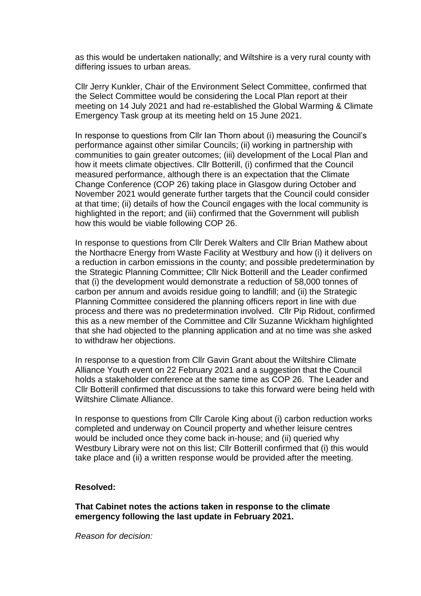as this would be undertaken nationally; and Wiltshire is a very rural county with differing issues to urban areas.

Cllr Jerry Kunkler, Chair of the Environment Select Committee, confirmed that the Select Committee would be considering the Local Plan report at their meeting on 14 July 2021 and had re-established the Global Warming & Climate Emergency Task group at its meeting held on 15 June 2021.

In response to questions from Cllr Ian Thorn about (i) measuring the Council's performance against other similar Councils; (ii) working in partnership with communities to gain greater outcomes; (iii) development of the Local Plan and how it meets climate objectives. Cllr Botterill, (i) confirmed that the Council measured performance, although there is an expectation that the Climate Change Conference (COP 26) taking place in Glasgow during October and November 2021 would generate further targets that the Council could consider at that time; (ii) details of how the Council engages with the local community is highlighted in the report; and (iii) confirmed that the Government will publish how this would be viable following COP 26.

In response to questions from Cllr Derek Walters and Cllr Brian Mathew about the Northacre Energy from Waste Facility at Westbury and how (i) it delivers on a reduction in carbon emissions in the county; and possible predetermination by the Strategic Planning Committee; Cllr Nick Botterill and the Leader confirmed that (i) the development would demonstrate a reduction of 58,000 tonnes of carbon per annum and avoids residue going to landfill; and (ii) the Strategic Planning Committee considered the planning officers report in line with due process and there was no predetermination involved. Cllr Pip Ridout, confirmed this as a new member of the Committee and Cllr Suzanne Wickham highlighted that she had objected to the planning application and at no time was she asked to withdraw her objections.

In response to a question from Cllr Gavin Grant about the Wiltshire Climate Alliance Youth event on 22 February 2021 and a suggestion that the Council holds a stakeholder conference at the same time as COP 26. The Leader and Cllr Botterill confirmed that discussions to take this forward were being held with Wiltshire Climate Alliance.

In response to questions from Cllr Carole King about (i) carbon reduction works completed and underway on Council property and whether leisure centres would be included once they come back in-house; and (ii) queried why Westbury Library were not on this list; Cllr Botterill confirmed that (i) this would take place and (ii) a written response would be provided after the meeting.

### **Resolved:**

**That Cabinet notes the actions taken in response to the climate emergency following the last update in February 2021.**

*Reason for decision:*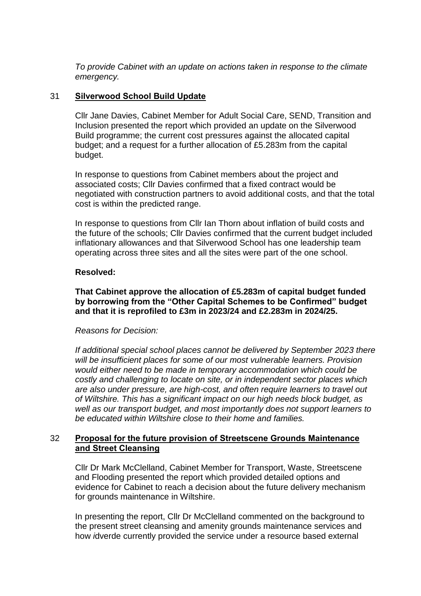*To provide Cabinet with an update on actions taken in response to the climate emergency.*

# 31 **Silverwood School Build Update**

Cllr Jane Davies, Cabinet Member for Adult Social Care, SEND, Transition and Inclusion presented the report which provided an update on the Silverwood Build programme; the current cost pressures against the allocated capital budget; and a request for a further allocation of £5.283m from the capital budget.

In response to questions from Cabinet members about the project and associated costs; Cllr Davies confirmed that a fixed contract would be negotiated with construction partners to avoid additional costs, and that the total cost is within the predicted range.

In response to questions from Cllr Ian Thorn about inflation of build costs and the future of the schools; Cllr Davies confirmed that the current budget included inflationary allowances and that Silverwood School has one leadership team operating across three sites and all the sites were part of the one school.

### **Resolved:**

# **That Cabinet approve the allocation of £5.283m of capital budget funded by borrowing from the "Other Capital Schemes to be Confirmed" budget and that it is reprofiled to £3m in 2023/24 and £2.283m in 2024/25.**

### *Reasons for Decision:*

*If additional special school places cannot be delivered by September 2023 there will be insufficient places for some of our most vulnerable learners. Provision would either need to be made in temporary accommodation which could be costly and challenging to locate on site, or in independent sector places which are also under pressure, are high-cost, and often require learners to travel out of Wiltshire. This has a significant impact on our high needs block budget, as well as our transport budget, and most importantly does not support learners to be educated within Wiltshire close to their home and families.*

# 32 **Proposal for the future provision of Streetscene Grounds Maintenance and Street Cleansing**

Cllr Dr Mark McClelland, Cabinet Member for Transport, Waste, Streetscene and Flooding presented the report which provided detailed options and evidence for Cabinet to reach a decision about the future delivery mechanism for grounds maintenance in Wiltshire.

In presenting the report, Cllr Dr McClelland commented on the background to the present street cleansing and amenity grounds maintenance services and how *i*dverde currently provided the service under a resource based external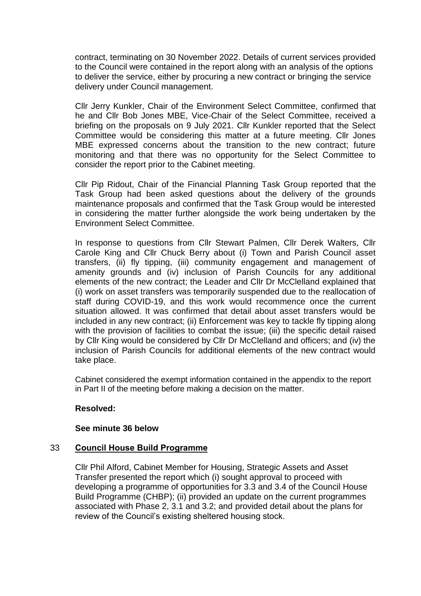contract, terminating on 30 November 2022. Details of current services provided to the Council were contained in the report along with an analysis of the options to deliver the service, either by procuring a new contract or bringing the service delivery under Council management.

Cllr Jerry Kunkler, Chair of the Environment Select Committee, confirmed that he and Cllr Bob Jones MBE, Vice-Chair of the Select Committee, received a briefing on the proposals on 9 July 2021. Cllr Kunkler reported that the Select Committee would be considering this matter at a future meeting. Cllr Jones MBE expressed concerns about the transition to the new contract; future monitoring and that there was no opportunity for the Select Committee to consider the report prior to the Cabinet meeting.

Cllr Pip Ridout, Chair of the Financial Planning Task Group reported that the Task Group had been asked questions about the delivery of the grounds maintenance proposals and confirmed that the Task Group would be interested in considering the matter further alongside the work being undertaken by the Environment Select Committee.

In response to questions from Cllr Stewart Palmen, Cllr Derek Walters, Cllr Carole King and Cllr Chuck Berry about (i) Town and Parish Council asset transfers, (ii) fly tipping, (iii) community engagement and management of amenity grounds and (iv) inclusion of Parish Councils for any additional elements of the new contract; the Leader and Cllr Dr McClelland explained that (i) work on asset transfers was temporarily suspended due to the reallocation of staff during COVID-19, and this work would recommence once the current situation allowed. It was confirmed that detail about asset transfers would be included in any new contract; (ii) Enforcement was key to tackle fly tipping along with the provision of facilities to combat the issue; (iii) the specific detail raised by Cllr King would be considered by Cllr Dr McClelland and officers; and (iv) the inclusion of Parish Councils for additional elements of the new contract would take place.

Cabinet considered the exempt information contained in the appendix to the report in Part II of the meeting before making a decision on the matter.

# **Resolved:**

# **See minute 36 below**

# 33 **Council House Build Programme**

Cllr Phil Alford, Cabinet Member for Housing, Strategic Assets and Asset Transfer presented the report which (i) sought approval to proceed with developing a programme of opportunities for 3.3 and 3.4 of the Council House Build Programme (CHBP); (ii) provided an update on the current programmes associated with Phase 2, 3.1 and 3.2; and provided detail about the plans for review of the Council's existing sheltered housing stock.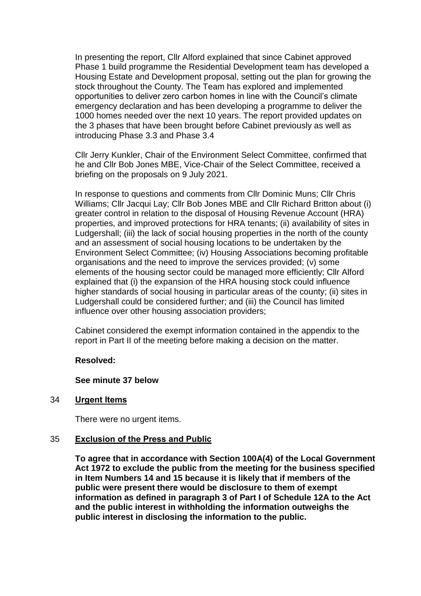In presenting the report, Cllr Alford explained that since Cabinet approved Phase 1 build programme the Residential Development team has developed a Housing Estate and Development proposal, setting out the plan for growing the stock throughout the County. The Team has explored and implemented opportunities to deliver zero carbon homes in line with the Council's climate emergency declaration and has been developing a programme to deliver the 1000 homes needed over the next 10 years. The report provided updates on the 3 phases that have been brought before Cabinet previously as well as introducing Phase 3.3 and Phase 3.4

Cllr Jerry Kunkler, Chair of the Environment Select Committee, confirmed that he and Cllr Bob Jones MBE, Vice-Chair of the Select Committee, received a briefing on the proposals on 9 July 2021.

In response to questions and comments from Cllr Dominic Muns; Cllr Chris Williams; Cllr Jacqui Lay; Cllr Bob Jones MBE and Cllr Richard Britton about (i) greater control in relation to the disposal of Housing Revenue Account (HRA) properties, and improved protections for HRA tenants; (ii) availability of sites in Ludgershall; (iii) the lack of social housing properties in the north of the county and an assessment of social housing locations to be undertaken by the Environment Select Committee; (iv) Housing Associations becoming profitable organisations and the need to improve the services provided; (v) some elements of the housing sector could be managed more efficiently; Cllr Alford explained that (i) the expansion of the HRA housing stock could influence higher standards of social housing in particular areas of the county; (ii) sites in Ludgershall could be considered further; and (iii) the Council has limited influence over other housing association providers;

Cabinet considered the exempt information contained in the appendix to the report in Part II of the meeting before making a decision on the matter.

### **Resolved:**

### **See minute 37 below**

### 34 **Urgent Items**

There were no urgent items.

### 35 **Exclusion of the Press and Public**

**To agree that in accordance with Section 100A(4) of the Local Government Act 1972 to exclude the public from the meeting for the business specified in Item Numbers 14 and 15 because it is likely that if members of the public were present there would be disclosure to them of exempt information as defined in paragraph 3 of Part I of Schedule 12A to the Act and the public interest in withholding the information outweighs the public interest in disclosing the information to the public.**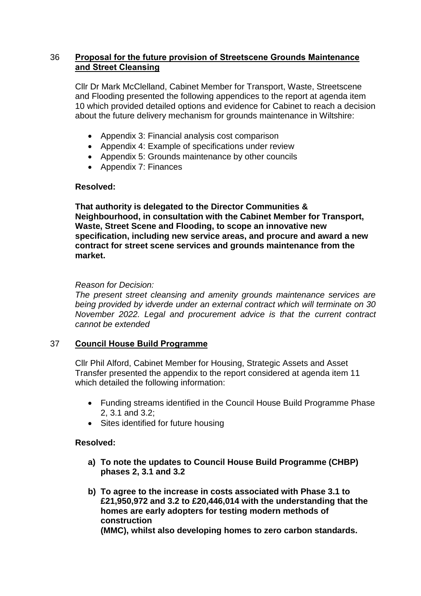# 36 **Proposal for the future provision of Streetscene Grounds Maintenance and Street Cleansing**

Cllr Dr Mark McClelland, Cabinet Member for Transport, Waste, Streetscene and Flooding presented the following appendices to the report at agenda item 10 which provided detailed options and evidence for Cabinet to reach a decision about the future delivery mechanism for grounds maintenance in Wiltshire:

- Appendix 3: Financial analysis cost comparison
- Appendix 4: Example of specifications under review
- Appendix 5: Grounds maintenance by other councils
- Appendix 7: Finances

# **Resolved:**

**That authority is delegated to the Director Communities & Neighbourhood, in consultation with the Cabinet Member for Transport, Waste, Street Scene and Flooding, to scope an innovative new specification, including new service areas, and procure and award a new contract for street scene services and grounds maintenance from the market.** 

# *Reason for Decision:*

*The present street cleansing and amenity grounds maintenance services are being provided by* i*dverde under an external contract which will terminate on 30 November 2022. Legal and procurement advice is that the current contract cannot be extended*

# 37 **Council House Build Programme**

Cllr Phil Alford, Cabinet Member for Housing, Strategic Assets and Asset Transfer presented the appendix to the report considered at agenda item 11 which detailed the following information:

- Funding streams identified in the Council House Build Programme Phase 2, 3.1 and 3.2;
- Sites identified for future housing

# **Resolved:**

- **a) To note the updates to Council House Build Programme (CHBP) phases 2, 3.1 and 3.2**
- **b) To agree to the increase in costs associated with Phase 3.1 to £21,950,972 and 3.2 to £20,446,014 with the understanding that the homes are early adopters for testing modern methods of construction (MMC), whilst also developing homes to zero carbon standards.**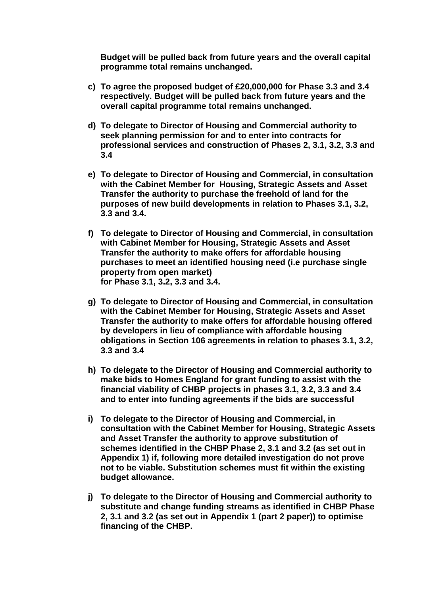**Budget will be pulled back from future years and the overall capital programme total remains unchanged.**

- **c) To agree the proposed budget of £20,000,000 for Phase 3.3 and 3.4 respectively. Budget will be pulled back from future years and the overall capital programme total remains unchanged.**
- **d) To delegate to Director of Housing and Commercial authority to seek planning permission for and to enter into contracts for professional services and construction of Phases 2, 3.1, 3.2, 3.3 and 3.4**
- **e) To delegate to Director of Housing and Commercial, in consultation with the Cabinet Member for Housing, Strategic Assets and Asset Transfer the authority to purchase the freehold of land for the purposes of new build developments in relation to Phases 3.1, 3.2, 3.3 and 3.4.**
- **f) To delegate to Director of Housing and Commercial, in consultation with Cabinet Member for Housing, Strategic Assets and Asset Transfer the authority to make offers for affordable housing purchases to meet an identified housing need (i.e purchase single property from open market) for Phase 3.1, 3.2, 3.3 and 3.4.**
- **g) To delegate to Director of Housing and Commercial, in consultation with the Cabinet Member for Housing, Strategic Assets and Asset Transfer the authority to make offers for affordable housing offered by developers in lieu of compliance with affordable housing obligations in Section 106 agreements in relation to phases 3.1, 3.2, 3.3 and 3.4**
- **h) To delegate to the Director of Housing and Commercial authority to make bids to Homes England for grant funding to assist with the financial viability of CHBP projects in phases 3.1, 3.2, 3.3 and 3.4 and to enter into funding agreements if the bids are successful**
- **i) To delegate to the Director of Housing and Commercial, in consultation with the Cabinet Member for Housing, Strategic Assets and Asset Transfer the authority to approve substitution of schemes identified in the CHBP Phase 2, 3.1 and 3.2 (as set out in Appendix 1) if, following more detailed investigation do not prove not to be viable. Substitution schemes must fit within the existing budget allowance.**
- **j) To delegate to the Director of Housing and Commercial authority to substitute and change funding streams as identified in CHBP Phase 2, 3.1 and 3.2 (as set out in Appendix 1 (part 2 paper)) to optimise financing of the CHBP.**